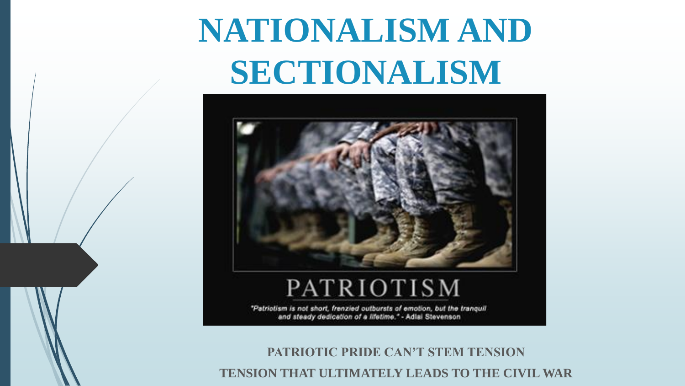# **NATIONALISM AND SECTIONALISM**



"Patriotism is not short, frenzied outbursts of emotion, but the tranquil and steady dedication of a lifetime." - Adlai Stevenson

**PATRIOTIC PRIDE CAN'T STEM TENSION TENSION THAT ULTIMATELY LEADS TO THE CIVIL WAR**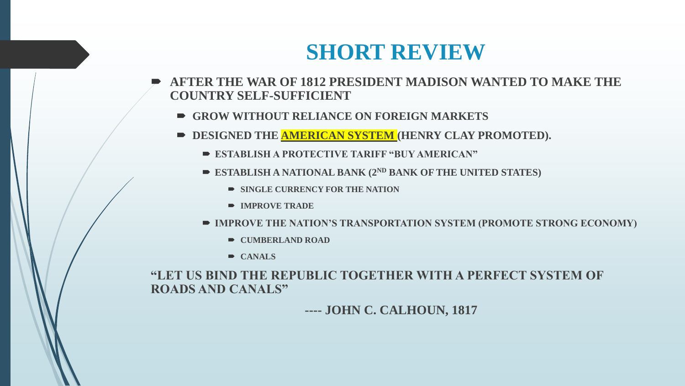#### **SHORT REVIEW**

- **AFTER THE WAR OF 1812 PRESIDENT MADISON WANTED TO MAKE THE COUNTRY SELF-SUFFICIENT**
	- **GROW WITHOUT RELIANCE ON FOREIGN MARKETS**
	- **DESIGNED THE AMERICAN SYSTEM (HENRY CLAY PROMOTED).** 
		- **ESTABLISH A PROTECTIVE TARIFF "BUY AMERICAN"**
		- **ESTABLISH A NATIONAL BANK (2ND BANK OF THE UNITED STATES)**
			- **SINGLE CURRENCY FOR THE NATION**
			- **IMPROVE TRADE**
		- **IMPROVE THE NATION'S TRANSPORTATION SYSTEM (PROMOTE STRONG ECONOMY)**
			- $\rightarrow$  **CUMBERLAND ROAD**
			- **CANALS**

#### **"LET US BIND THE REPUBLIC TOGETHER WITH A PERFECT SYSTEM OF ROADS AND CANALS"**

#### **---- JOHN C. CALHOUN, 1817**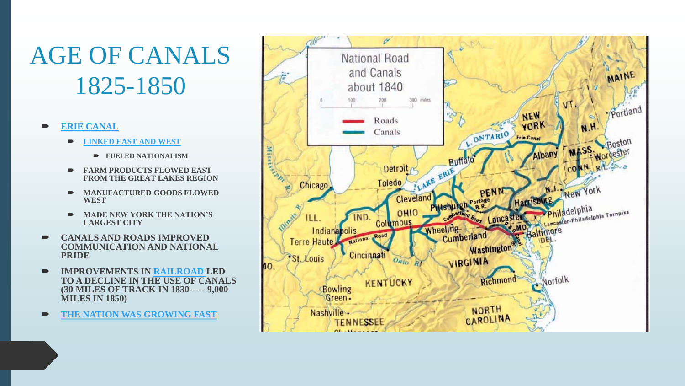# AGE OF CANALS 1825-1850

#### **[ERIE CANAL](https://youtu.be/Zzjv9IP8GBg)**

- **[LINKED EAST AND WEST](https://youtu.be/EIOZcfHJoF8)**
	- **FUELED NATIONALISM**
- **FARM PRODUCTS FLOWED EAST FROM THE GREAT LAKES REGION**
- **MANUFACTURED GOODS FLOWED WEST**
- **MADE NEW YORK THE NATION'S LARGEST CITY**
- **CANALS AND ROADS IMPROVED COMMUNICATION AND NATIONAL PRIDE**
- **IMPROVEMENTS IN [RAILROAD L](https://youtu.be/GYAk5jCTQ3s)ED TO A DECLINE IN THE USE OF CANALS (30 MILES OF TRACK IN 1830----- 9,000 MILES IN 1850)**
- **[THE NATION WAS GROWING FAST](https://youtu.be/XhiaeDwOLiM)**

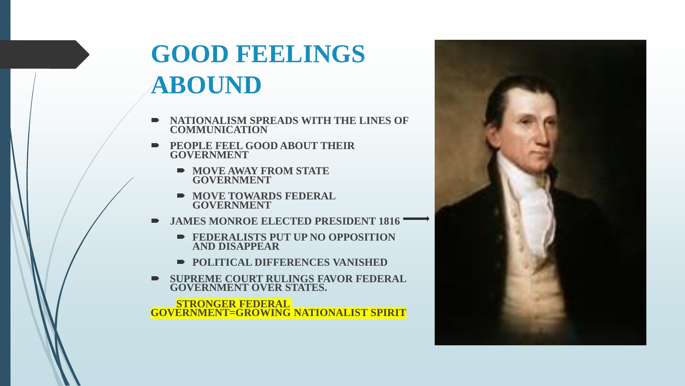### **GOOD FEELINGS ABOUND**

- **NATIONALISM SPREADS WITH THE LINES OF COMMUNICATION**
- **PEOPLE FEEL GOOD ABOUT THEIR GOVERNMENT**
	- **MOVE AWAY FROM STATE GOVERNMENT**
	- **NOVE TOWARDS FEDERAL GOVERNMENT**
- **JAMES MONROE ELECTED PRESIDENT 1816** 
	- **FEDERALISTS PUT UP NO OPPOSITION AND DISAPPEAR**
	- **POLITICAL DIFFERENCES VANISHED**
- **SUPREME COURT RULINGS FAVOR FEDERAL GOVERNMENT OVER STATES.**

**STRONGER FEDERAL GOVERNMENT=GROWING NATIONALIST SPIRIT**

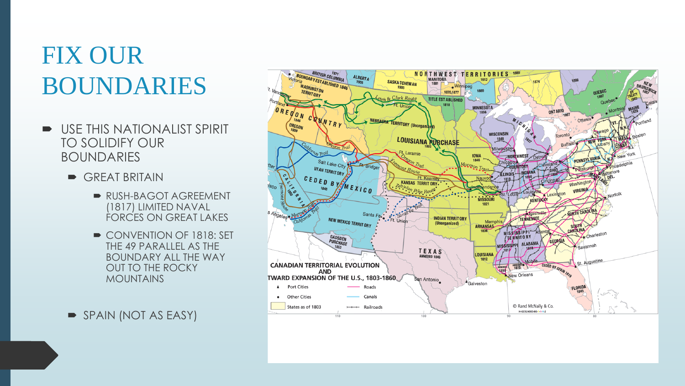### FIX OUR BOUNDARIES

- USE THIS NATIONALIST SPIRIT TO SOLIDIFY OUR BOUNDARIES
	- GREAT BRITAIN
		- RUSH-BAGOT AGREEMENT (1817) LIMITED NAVAL FORCES ON GREAT LAKES
		- CONVENTION OF 1818: SET THE 49 PARALLEL AS THE BOUNDARY ALL THE WAY OUT TO THE ROCKY MOUNTAINS
	- SPAIN (NOT AS EASY)

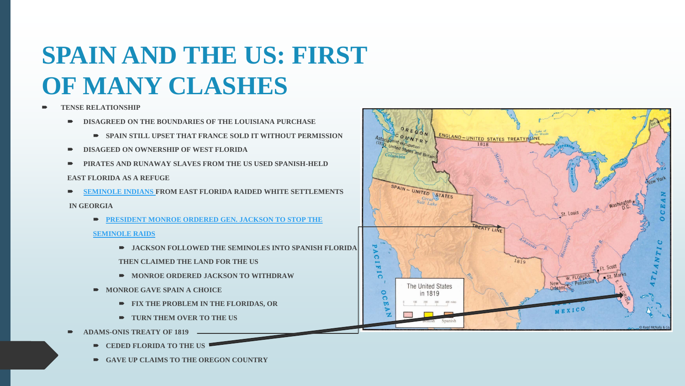## **SPAIN AND THE US: FIRST OF MANY CLASHES**

- **TENSE RELATIONSHIP**
	- **P** DISAGREED ON THE BOUNDARIES OF THE LOUISIANA PURCHASE
		- **SPAIN STILL UPSET THAT FRANCE SOLD IT WITHOUT PERMISSION**
	- **DISAGEED ON OWNERSHIP OF WEST FLORIDA**
	- **PIRATES AND RUNAWAY SLAVES FROM THE US USED SPANISH-HELD**

#### **EAST FLORIDA AS A REFUGE**

**[SEMINOLE INDIANS F](https://youtu.be/WvuV2EuhtFc)ROM EAST FLORIDA RAIDED WHITE SETTLEMENTS**

#### **IN GEORGIA**

**[PRESIDENT MONROE ORDERED GEN. JACKSON TO STOP THE](https://youtu.be/ymCHLCYACzM)** 

#### **[SEMINOLE RAIDS](https://youtu.be/ymCHLCYACzM)**

- **JACKSON FOLLOWED THE SEMINOLES INTO SPANISH FLORIDA**
- **THEN CLAIMED THE LAND FOR THE US**
- **MONROE ORDERED JACKSON TO WITHDRAW**
- **MONROE GAVE SPAIN A CHOICE** 
	- **FIX THE PROBLEM IN THE FLORIDAS, OR**
	- **TURN THEM OVER TO THE US**
- **ADAMS-ONIS TREATY OF 1819** 
	- $\rightarrow$  **CEDED FLORIDA TO THE US**
	- **GAVE UP CLAIMS TO THE OREGON COUNTRY**

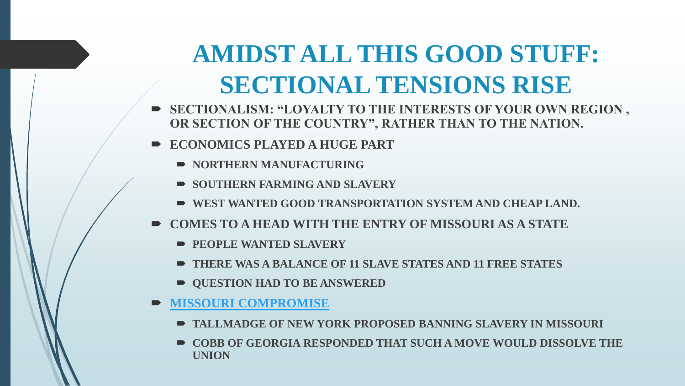### **AMIDST ALL THIS GOOD STUFF: SECTIONAL TENSIONS RISE**

- **SECTIONALISM: "LOYALTY TO THE INTERESTS OF YOUR OWN REGION, OR SECTION OF THE COUNTRY", RATHER THAN TO THE NATION.**
- **ECONOMICS PLAYED A HUGE PART**
	- **NORTHERN MANUFACTURING**
	- **SOUTHERN FARMING AND SLAVERY**
	- **WEST WANTED GOOD TRANSPORTATION SYSTEM AND CHEAP LAND.**
- **COMES TO A HEAD WITH THE ENTRY OF MISSOURI AS A STATE**
	- **PEOPLE WANTED SLAVERY**
	- **THERE WAS A BALANCE OF 11 SLAVE STATES AND 11 FREE STATES**
	- **QUESTION HAD TO BE ANSWERED**
- **[MISSOURI COMPROMISE](https://youtu.be/Z-Id8pqA-O4)**
	- **TALLMADGE OF NEW YORK PROPOSED BANNING SLAVERY IN MISSOURI**
	- **COBB OF GEORGIA RESPONDED THAT SUCH A MOVE WOULD DISSOLVE THE UNION**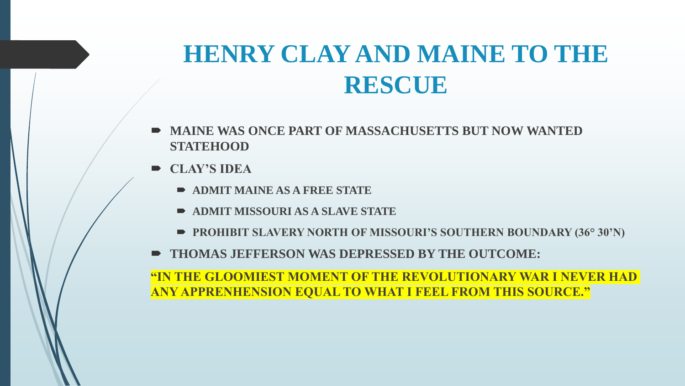#### **HENRY CLAY AND MAINE TO THE RESCUE**

- **MAINE WAS ONCE PART OF MASSACHUSETTS BUT NOW WANTED STATEHOOD**
- **CLAY'S IDEA**
	- **ADMIT MAINE AS A FREE STATE**
	- **ADMIT MISSOURI AS A SLAVE STATE**
	- **PROHIBIT SLAVERY NORTH OF MISSOURI'S SOUTHERN BOUNDARY (36° 30'N)**
- **THOMAS JEFFERSON WAS DEPRESSED BY THE OUTCOME:**

**"IN THE GLOOMIEST MOMENT OF THE REVOLUTIONARY WAR I NEVER HAD ANY APPRENHENSION EQUAL TO WHAT I FEEL FROM THIS SOURCE."**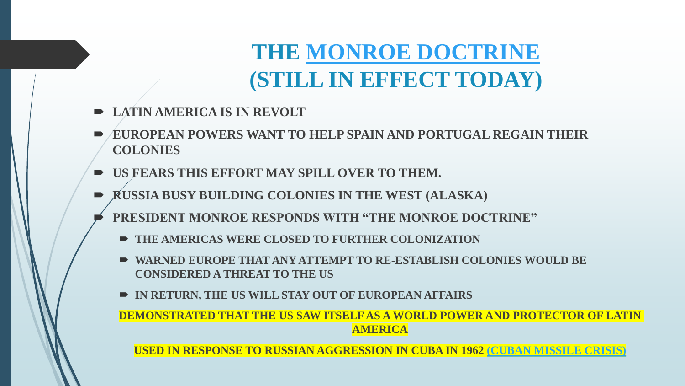#### **THE [MONROE DOCTRINE](https://youtu.be/LGH3PdDylB0) (STILL IN EFFECT TODAY)**

- **LATIN AMERICA IS IN REVOLT**
- **EUROPEAN POWERS WANT TO HELP SPAIN AND PORTUGAL REGAIN THEIR COLONIES**
- **US FEARS THIS EFFORT MAY SPILL OVER TO THEM.**
- **RUSSIA BUSY BUILDING COLONIES IN THE WEST (ALASKA)**
	- **PRESIDENT MONROE RESPONDS WITH "THE MONROE DOCTRINE"**
		- $\blacksquare$  **THE AMERICAS WERE CLOSED TO FURTHER COLONIZATION**
		- **WARNED EUROPE THAT ANY ATTEMPT TO RE-ESTABLISH COLONIES WOULD BE CONSIDERED A THREAT TO THE US**
		- **IN RETURN, THE US WILL STAY OUT OF EUROPEAN AFFAIRS**

**DEMONSTRATED THAT THE US SAW ITSELF AS A WORLD POWER AND PROTECTOR OF LATIN AMERICA**

**USED IN RESPONSE TO RUSSIAN AGGRESSION IN CUBA IN 1962 [\(CUBAN MISSILE CRISIS\)](https://youtu.be/Xo8SMzM8X-U)**